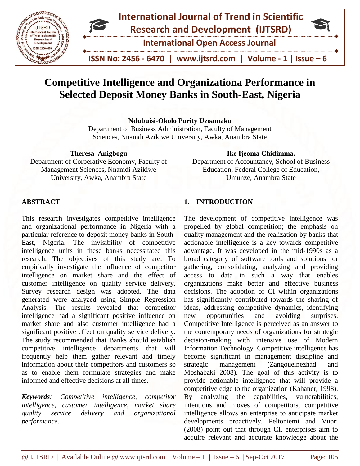

# **International Journal of Trend in Scientific Research and Development (IJTSRD)**

**International Open Access Journal**

 **ISSN No: 2456 - 6470 | www.ijtsrd.com | Volume - 1 | Issue – 6**

## **Competitive Intelligence and Organizationa Performance in Selected Deposit Money Banks in South-East, Nigeria**

**Ndubuisi-Okolo Purity Uzoamaka**

Department of Business Administration, Faculty of Management Sciences, Nnamdi Azikiwe University, Awka, Anambra State

**Theresa Anigbogu**  Department of Corperative Economy, Faculty of Management Sciences, Nnamdi Azikiwe University, Awka, Anambra State

## **Ike Ijeoma Chidimma.**

Department of Accountancy, School of Business Education, Federal College of Education, Umunze, Anambra State

## **ABSTRACT**

This research investigates competitive intelligence and organizational performance in Nigeria with a particular reference to deposit money banks in South-East, Nigeria. The invisibility of competitive intelligence units in these banks necessitated this research. The objectives of this study are: To empirically investigate the influence of competitor intelligence on market share and the effect of customer intelligence on quality service delivery. Survey research design was adopted. The data generated were analyzed using Simple Regression Analysis. The results revealed that competitor intelligence had a significant positive influence on market share and also customer intelligence had a significant positive effect on quality service delivery. The study recommended that Banks should establish competitive intelligence departments that will frequently help them gather relevant and timely information about their competitors and customers so as to enable them formulate strategies and make informed and effective decisions at all times.

*Keywords: Competitive intelligence, competitor intelligence, customer intelligence, market share quality service delivery and organizational performance.*

## **1. INTRODUCTION**

The development of competitive intelligence was propelled by global competition; the emphasis on quality management and the realization by banks that actionable intelligence is a key towards competitive advantage. It was developed in the mid-1990s as a broad category of software tools and solutions for gathering, consolidating, analyzing and providing access to data in such a way that enables organizations make better and effective business decisions. The adoption of CI within organizations has significantly contributed towards the sharing of ideas, addressing competitive dynamics, identifying new opportunities and avoiding surprises. Competitive Intelligence is perceived as an answer to the contemporary needs of organizations for strategic decision-making with intensive use of Modern Information Technology. Competitive intelligence has become significant in management discipline and strategic management (Zangoueinezhad and Moshabaki 2008). The goal of this activity is to provide actionable intelligence that will provide a competitive edge to the organization (Kahaner, 1998). By analyzing the capabilities, vulnerabilities, intentions and moves of competitors, competitive intelligence allows an enterprise to anticipate market developments proactively. Peltoniemi and Vuori (2008) point out that through CI, enterprises aim to acquire relevant and accurate knowledge about the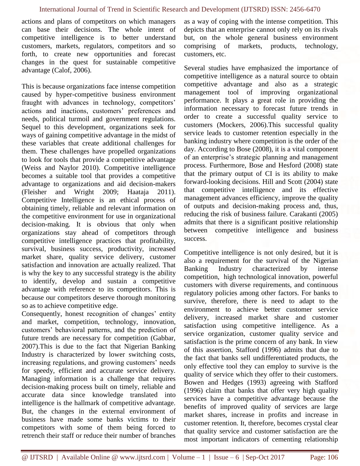actions and plans of competitors on which managers can base their decisions. The whole intent of competitive intelligence is to better understand customers, markets, regulators, competitors and so forth, to create new opportunities and forecast changes in the quest for sustainable competitive advantage (Calof, 2006).

This is because organizations face intense competition caused by hyper-competitive business environment fraught with advances in technology, competitors' actions and inactions, customers' preferences and needs, political turmoil and government regulations. Sequel to this development, organizations seek for ways of gaining competitive advantage in the midst of these variables that create additional challenges for them. These challenges have propelled organizations to look for tools that provide a competitive advantage (Weiss and Naylor 2010). Competitive intelligence becomes a suitable tool that provides a competitive advantage to organizations and aid decision-makers (Fleisher and Wright 2009; Haataja 2011). Competitive Intelligence is an ethical process of obtaining timely, reliable and relevant information on the competitive environment for use in organizational decision-making. It is obvious that only when organizations stay ahead of competitors through competitive intelligence practices that profitability, survival, business success, productivity, increased market share, quality service delivery, customer satisfaction and innovation are actually realized. That is why the key to any successful strategy is the ability to identify, develop and sustain a competitive advantage with reference to its competitors. This is because our competitors deserve thorough monitoring so as to achieve competitive edge.

Consequently, honest recognition of changes' entity and market, competition, technology, innovation, customers' behavioral patterns, and the prediction of future trends are necessary for competition (Gabbar, 2007).This is due to the fact that Nigerian Banking Industry is characterized by lower switching costs, increasing regulations, and growing customers' needs for speedy, efficient and accurate service delivery. Managing information is a challenge that requires decision-making process built on timely, reliable and accurate data since knowledge translated into intelligence is the hallmark of competitive advantage. But, the changes in the external environment of business have made some banks victims to their competitors with some of them being forced to retrench their staff or reduce their number of branches as a way of coping with the intense competition. This depicts that an enterprise cannot only rely on its rivals but, on the whole general business environment comprising of markets, products, technology, customers, etc.

Several studies have emphasized the importance of competitive intelligence as a natural source to obtain competitive advantage and also as a strategic management tool of improving organizational performance. It plays a great role in providing the information necessary to forecast future trends in order to create a successful quality service to customers (Mockers, 2006).This successful quality service leads to customer retention especially in the banking industry where competition is the order of the day. According to Bose (2008), it is a vital component of an enterprise's strategic planning and management process. Furthermore, Bose and Hesford (2008) state that the primary output of CI is its ability to make forward-looking decisions. Hill and Scott (2004) state that competitive intelligence and its effective management advances efficiency, improve the quality of outputs and decision-making process and, thus, reducing the risk of business failure. Carakanti (2005) admits that there is a significant positive relationship between competitive intelligence and business success.

Competitive intelligence is not only desired, but it is also a requirement for the survival of the Nigerian Banking Industry characterized by intense competition, high technological innovation, powerful customers with diverse requirements, and continuous regulatory policies among other factors. For banks to survive, therefore, there is need to adapt to the environment to achieve better customer service delivery, increased market share and customer satisfaction using competitive intelligence. As a service organization, customer quality service and satisfaction is the prime concern of any bank. In view of this assertion, Stafford (1996) admits that due to the fact that banks sell undifferentiated products, the only effective tool they can employ to survive is the quality of service which they offer to their customers. Bowen and Hedges (1993) agreeing with Stafford (1996) claim that banks that offer very high quality services have a competitive advantage because the benefits of improved quality of services are large market shares, increase in profits and increase in customer retention. It, therefore, becomes crystal clear that quality service and customer satisfaction are the most important indicators of cementing relationship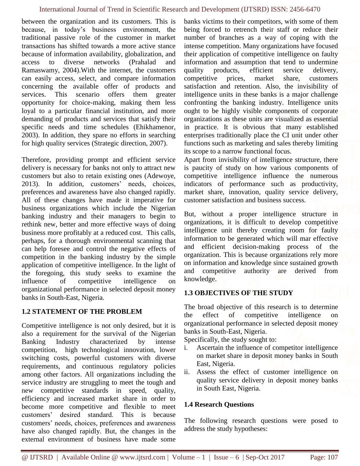between the organization and its customers. This is because, in today's business environment, the traditional passive role of the customer in market transactions has shifted towards a more active stance because of information availability, globalization, and access to diverse networks (Prahalad and Ramaswamy, 2004).With the internet, the customers can easily access, select, and compare information concerning the available offer of products and services. This scenario offers them greater opportunity for choice-making, making them less loyal to a particular financial institution, and more demanding of products and services that satisfy their specific needs and time schedules (Ehikhamenor, 2003). In addition, they spare no efforts in searching for high quality services (Strategic direction, 2007).

Therefore, providing prompt and efficient service delivery is necessary for banks not only to attract new customers but also to retain existing ones (Adewoye, 2013). In addition, customers' needs, choices, preferences and awareness have also changed rapidly. All of these changes have made it imperative for business organizations which include the Nigerian banking industry and their managers to begin to rethink new, better and more effective ways of doing business more profitably at a reduced cost. This calls, perhaps, for a thorough environmental scanning that can help foresee and control the negative effects of competition in the banking industry by the simple application of competitive intelligence. In the light of the foregoing, this study seeks to examine the influence of competitive intelligence on organizational performance in selected deposit money banks in South-East, Nigeria.

## **1.2 STATEMENT OF THE PROBLEM**

Competitive intelligence is not only desired, but it is also a requirement for the survival of the Nigerian Banking Industry characterized by intense competition, high technological innovation, lower switching costs, powerful customers with diverse requirements, and continuous regulatory policies among other factors. All organizations including the service industry are struggling to meet the tough and new competitive standards in speed, quality, efficiency and increased market share in order to become more competitive and flexible to meet customers' desired standard. This is because customers' needs, choices, preferences and awareness have also changed rapidly. But, the changes in the external environment of business have made some

banks victims to their competitors, with some of them being forced to retrench their staff or reduce their number of branches as a way of coping with the intense competition. Many organizations have focused their application of competitive intelligence on faulty information and assumption that tend to undermine quality products, efficient service delivery, competitive prices, market share, customers satisfaction and retention. Also, the invisibility of intelligence units in these banks is a major challenge confronting the banking industry. Intelligence units ought to be highly visible components of corporate organizations as these units are visualized as essential in practice. It is obvious that many established enterprises traditionally place the CI unit under other functions such as marketing and sales thereby limiting its scope to a narrow functional focus.

Apart from invisibility of intelligence structure, there is paucity of study on how various components of competitive intelligence influence the numerous indicators of performance such as productivity, market share, innovation, quality service delivery, customer satisfaction and business success.

But, without a proper intelligence structure in organizations, it is difficult to develop competitive intelligence unit thereby creating room for faulty information to be generated which will mar effective and efficient decision-making process of the organization. This is because organizations rely more on information and knowledge since sustained growth and competitive authority are derived from knowledge.

## **1.3 OBJECTIVES OF THE STUDY**

The broad objective of this research is to determine the effect of competitive intelligence on organizational performance in selected deposit money banks in South-East, Nigeria.

Specifically, the study sought to:

- i. Ascertain the influence of competitor intelligence on market share in deposit money banks in South East, Nigeria.
- ii. Assess the effect of customer intelligence on quality service delivery in deposit money banks in South East, Nigeria.

## **1.4 Research Questions**

The following research questions were posed to address the study hypotheses: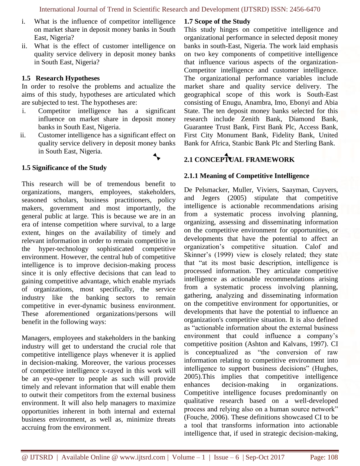- i. What is the influence of competitor intelligence on market share in deposit money banks in South East, Nigeria?
- ii. What is the effect of customer intelligence on quality service delivery in deposit money banks in South East, Nigeria?

#### **1.5 Research Hypotheses**

In order to resolve the problems and actualize the aims of this study, hypotheses are articulated which are subjected to test. The hypotheses are:

- i. Competitor intelligence has a significant influence on market share in deposit money banks in South East, Nigeria.
- ii. Customer intelligence has a significant effect on quality service delivery in deposit money banks in South East, Nigeria.



## **1.5 Significance of the Study**

This research will be of tremendous benefit to organizations, mangers, employees, stakeholders, seasoned scholars, business practitioners, policy makers, government and most importantly, the general public at large. This is because we are in an era of intense competition where survival, to a large extent, hinges on the availability of timely and relevant information in order to remain competitive in the hyper-technology sophisticated competitive environment. However, the central hub of competitive intelligence is to improve decision-making process since it is only effective decisions that can lead to gaining competitive advantage, which enable myriads of organizations, most specifically, the service industry like the banking sectors to remain competitive in ever-dynamic business environment. These aforementioned organizations/persons will benefit in the following ways:

Managers, employees and stakeholders in the banking industry will get to understand the crucial role that competitive intelligence plays whenever it is applied in decision-making. Moreover, the various processes of competitive intelligence x-rayed in this work will be an eye-opener to people as such will provide timely and relevant information that will enable them to outwit their competitors from the external business environment. It will also help managers to maximize opportunities inherent in both internal and external business environment, as well as, minimize threats accruing from the environment.

## **1.7 Scope of the Study**

This study hinges on competitive intelligence and organizational performance in selected deposit money banks in south-East, Nigeria. The work laid emphasis on two key components of competitive intelligence that influence various aspects of the organization-Competitor intelligence and customer intelligence. The organizational performance variables include market share and quality service delivery. The geographical scope of this work is South-East consisting of Enugu, Anambra, Imo, Ebonyi and Abia State. The ten deposit money banks selected for this research include Zenith Bank, Diamond Bank, Guarantee Trust Bank, First Bank Plc, Access Bank, First City Monument Bank, Fidelity Bank, United Bank for Africa, Stanbic Bank Plc and Sterling Bank.

## **2.1 CONCEPTUAL FRAMEWORK**

## **2.1.1 Meaning of Competitive Intelligence**

De Pelsmacker, Muller, Viviers, Saayman, Cuyvers, and Jegers (2005) stipulate that competitive intelligence is actionable recommendations arising from a systematic process involving planning, organizing, assessing and disseminating information on the competitive environment for opportunities, or developments that have the potential to affect an organization's competitive situation. Calof and Skinner's (1999) view is closely related; they state that "at its most basic description, intelligence is processed information. They articulate competitive intelligence as actionable recommendations arising from a systematic process involving planning, gathering, analyzing and disseminating information on the competitive environment for opportunities, or developments that have the potential to influence an organization's competitive situation. It is also defined as "actionable information about the external business environment that could influence a company's competitive position (Ashton and Kalvans, 1997). CI is conceptualized as "the conversion of raw information relating to competitive environment into intelligence to support business decisions" (Hughes, 2005).This implies that competitive intelligence enhances decision-making in organizations. Competitive intelligence focuses predominantly on qualitative research based on a well-developed process and relying also on a human source network" (Fouche, 2006). These definitions showcased CI to be a tool that transforms information into actionable intelligence that, if used in strategic decision-making,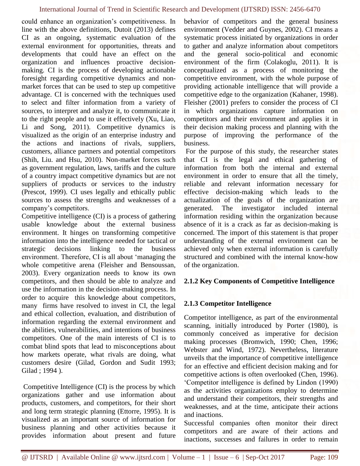could enhance an organization's competitiveness. In line with the above definitions, Dutoit (2013) defines CI as an ongoing, systematic evaluation of the external environment for opportunities, threats and developments that could have an effect on the organization and influences proactive decisionmaking. CI is the process of developing actionable foresight regarding competitive dynamics and nonmarket forces that can be used to step up competitive advantage. CI is concerned with the techniques used to select and filter information from a variety of sources, to interpret and analyze it, to communicate it to the right people and to use it effectively (Xu, Liao, Li and Song, 2011). Competitive dynamics is visualized as the origin of an enterprise industry and the actions and inactions of rivals, suppliers, customers, alliance partners and potential competitors (Shih, Liu. and Hsu, 2010). Non-market forces such as government regulation, laws, tariffs and the culture of a country impact competitive dynamics but are not suppliers of products or services to the industry (Prescot, 1999). CI uses legally and ethically public sources to assess the strengths and weaknesses of a company's competitors.

Competitive intelligence (CI) is a process of gathering usable knowledge about the external business environment. It hinges on transforming competitive information into the intelligence needed for tactical or strategic decisions linking to the business environment. Therefore, CI is all about 'managing the whole competitive arena (Fleisher and Bensoussan, 2003). Every organization needs to know its own competitors, and then should be able to analyze and use the information in the decision-making process. In order to acquire this knowledge about competitors, many firms have resolved to invest in CI, the legal and ethical collection, evaluation, and distribution of information regarding the external environment and the abilities, vulnerabilities, and intentions of business competitors. One of the main interests of CI is to combat blind spots that lead to misconceptions about how markets operate, what rivals are doing, what customers desire (Gilad, Gordon and Sudit 1993; Gilad ; 1994 ).

Competitive Intelligence (CI) is the process by which organizations gather and use information about products, customers, and competitors, for their short and long term strategic planning (Ettorre, 1995). It is visualized as an important source of information for business planning and other activities because it provides information about present and future behavior of competitors and the general business environment (Vedder and Guynes, 2002). CI means a systematic process initiated by organizations in order to gather and analyze information about competitors and the general socio-political and economic environment of the firm (Colakoglu, 2011). It is conceptualized as a process of monitoring the competitive environment, with the whole purpose of providing actionable intelligence that will provide a competitive edge to the organization (Kahaner, 1998). Fleisher (2001) prefers to consider the process of CI in which organizations capture information on competitors and their environment and applies it in their decision making process and planning with the purpose of improving the performance of the business.

For the purpose of this study, the researcher states that CI is the legal and ethical gathering of information from both the internal and external environment in order to ensure that all the timely, reliable and relevant information necessary for effective decision-making which leads to the actualization of the goals of the organization are generated. The investigator included internal information residing within the organization because absence of it is a crack as far as decision-making is concerned. The import of this statement is that proper understanding of the external environment can be achieved only when external information is carefully structured and combined with the internal know-how of the organization.

#### **2.1.2 Key Components of Competitive Intelligence**

## **2.1.3 Competitor Intelligence**

Competitor intelligence, as part of the environmental scanning, initially introduced by Porter (1980), is commonly conceived as imperative for decision making processes (Bromwich, 1990; Chen, 1996; Webster and Wind, 1972). Nevertheless, literature unveils that the importance of competitive intelligence for an effective and efficient decision making and for competitive actions is often overlooked (Chen, 1996). 'Competitor intelligence is defined by Lindon (1990) as the activities organizations employ to determine and understand their competitors, their strengths and weaknesses, and at the time, anticipate their actions and inactions.

Successful companies often monitor their direct competitors and are aware of their actions and inactions, successes and failures in order to remain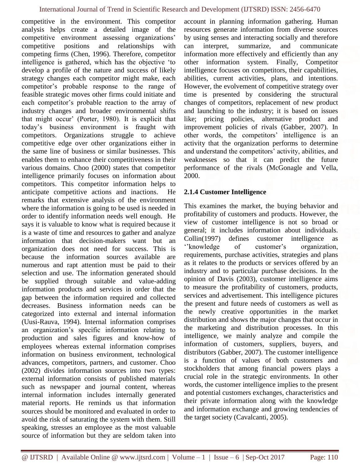competitive in the environment. This competitor analysis helps create a detailed image of the competitive environment assessing organizations' competitive positions and relationships with competing firms (Chen, 1996). Therefore, competitor intelligence is gathered, which has the objective 'to develop a profile of the nature and success of likely strategy changes each competitor might make, each competitor's probable response to the range of feasible strategic moves other firms could initiate and each competitor's probable reaction to the array of industry changes and broader environmental shifts that might occur' (Porter, 1980). It is explicit that today's business environment is fraught with competitors. Organizations struggle to achieve competitive edge over other organizations either in the same line of business or similar businesses. This enables them to enhance their competitiveness in their various domains. Choo (2000) states that competitor intelligence primarily focuses on information about competitors. This competitor information helps to anticipate competitive actions and inactions. He remarks that extensive analysis of the environment where the information is going to be used is needed in order to identify information needs well enough. He says it is valuable to know what is required because it is a waste of time and resources to gather and analyze information that decision-makers want but an organization does not need for success. This is because the information sources available are numerous and rapt attention must be paid to their selection and use. The information generated should be supplied through suitable and value-adding information products and services in order that the gap between the information required and collected decreases. Business information needs can be categorized into external and internal information (Uusi-Rauva, 1994). Internal information comprises an organization's specific information relating to production and sales figures and know-how of employees whereas external information comprises information on business environment, technological advances, competitors, partners, and customer. Choo (2002) divides information sources into two types: external information consists of published materials such as newspaper and journal content, whereas internal information includes internally generated material reports. He reminds us that information sources should be monitored and evaluated in order to avoid the risk of saturating the system with them. Still speaking, stresses an employee as the most valuable source of information but they are seldom taken into

account in planning information gathering. Human resources generate information from diverse sources by using senses and interacting socially and therefore can interpret, summarize, and communicate information more effectively and efficiently than any other information system. Finally, Competitor intelligence focuses on competitors, their capabilities, abilities, current activities, plans, and intentions. However, the evolvement of competitive strategy over time is presented by considering the structural changes of competitors, replacement of new product and launching to the industry; it is based on issues like; pricing policies, alternative product and improvement policies of rivals (Gabber, 2007). In other words, the competitors' intelligence is an activity that the organization performs to determine and understand the competitors' activity, abilities, and weaknesses so that it can predict the future performance of the rivals (McGonagle and Vella, 2000.

#### **2.1.4 Customer Intelligence**

This examines the market, the buying behavior and profitability of customers and products. However, the view of customer intelligence is not so broad or general; it includes information about individuals. Collin(1997) defines customer intelligence as ''knowledge of customer's organization, requirements, purchase activities, strategies and plans as it relates to the products or services offered by an industry and to particular purchase decisions. In the opinion of Davis (2003), customer intelligence aims to measure the profitability of customers, products, services and advertisement. This intelligence pictures the present and future needs of customers as well as the newly creative opportunities in the market distribution and shows the major changes that occur in the marketing and distribution processes. In this intelligence, we mainly analyze and compile the information of customers, suppliers, buyers, and distributors (Gabber, 2007). The customer intelligence is a function of values of both customers and stockholders that among financial powers plays a crucial role in the strategic environments. In other words, the customer intelligence implies to the present and potential customers exchanges, characteristics and their private information along with the knowledge and information exchange and growing tendencies of the target society (Cavalcanti, 2005).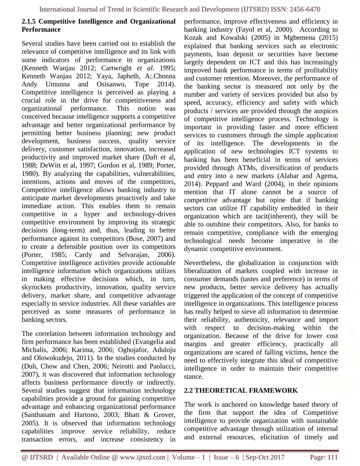#### **2.1.5 Competitive Intelligence and Organizational Performance**

Several studies have been carried out to establish the relevance of competitive intelligence and its link with some indicators of performance in organizations (Kenneth Wanjau 2012; Cartwright *et al.* 1995; Kenneth Wanjau 2012; Yaya, Japheth, A;.Chonna Andy Umunna and Osisanwo, Tope 2014). Competitive intelligence is perceived as playing a crucial role in the drive for competitiveness and organizational performance. This notion was conceived because intelligence supports a competitive advantage and better organizational performance by permitting better business planning; new product development, business success, quality service delivery, customer satisfaction, innovation, increased productivity and improved market share (Daft et al, 1988; DeWitt et al, 1997; Gordon et al, 1989; Porter, 1980). By analyzing the capabilities, vulnerabilities, intentions, actions and moves of the competitors, Competitive intelligence allows banking industry to anticipate market developments proactively and take immediate action. This enables them to remain competitive in a hyper and technology-driven competitive environment by improving its strategic decisions (long-term) and, thus, leading to better performance against its competitors (Bose, 2007) and to create a defensible position over its competitors (Porter, 1985; Cardy and Selvarajan, 2006). Competitive intelligence activities provide actionable intelligence information which organizations utilizes in making effective decisions which, in turn, skyrockets productivity, innovation, quality service delivery, market share, and competitive advantage especially in service industries. All these variables are perceived as some measures of performance in banking sectors.

The correlation between information technology and firm performance has been established (Evangelia and Michalis, 2006; Karima, 2006; Oghojafor, Aduloju and Olowokudejo, 2011). In the studies conducted by (Duh, Chow and Chen, 2006; Neirotti and Paolucci, 2007), it was discovered that information technology affects business performance directly or indirectly. Several studies suggest that information technology capabilities provide a ground for gaining competitive advantage and enhancing organizational performance (Santhanam and Hartono, 2003; Bhatt & Grover, 2005). It is observed that information technology capabilities improve service reliability, reduce transaction errors, and increase consistency in performance, improve effectiveness and efficiency in banking industry (Fayol et al, 2000). According to Kozak and Kowalski (2005) in Mgbemena (2015) explained that banking services such as electronic payments, loan deposit or securities have become largely dependent on ICT and this has increasingly improved bank performance in terms of profitability and customer retention. Moreover, the performance of the banking sector is measured not only by the number and variety of services provided but also by speed, accuracy, efficiency and safety with which products / services are provided through the auspices of competitive intelligence process. Technology is important in providing faster and more efficient services to customers through the simple application of its intelligence. The developments in the application of new technologies ICT systems to banking has been beneficial in terms of services provided through ATMs, diversification of products and entry into a new markets (Alabar and Agema, 2014). Peppard and Ward (2004), in their opinions mention that IT alone cannot be a source of competitive advantage but opine that if banking sectors can utilize IT capability embedded in their organization which are tacit(inherent), they will be able to outshine their competitors. Also, for banks to remain competitive, compliance with the emerging technological needs become imperative in the dynamic competitive environment.

Nevertheless, the globalization in conjunction with liberalization of markets coupled with increase in consumer demands (tastes and preference) in terms of new products, better service delivery has actually triggered the application of the concept of competitive intelligence in organizations. This intelligence process has really helped to sieve all information to determine their reliability, authenticity, relevance and import with respect to decision-making within the organization. Because of the drive for lower cost margins and greater efficiency, practically all organizations are scared of falling victims, hence the need to effectively integrate this ideal of competitive intelligence in order to maintain their competitive stance.

#### **2.2 THEORETICAL FRAMEWORK**

The work is anchored on knowledge based theory of the firm that support the idea of Competitive intelligence to provide organization with sustainable competitive advantage through utilization of internal and external resources, elicitation of timely and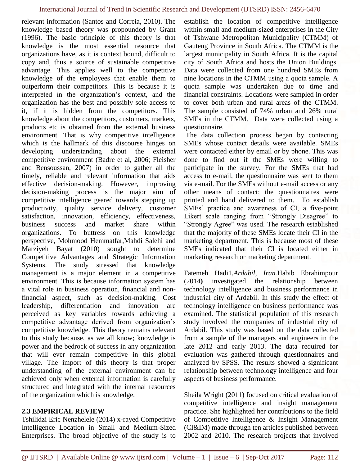relevant information (Santos and Correia, 2010). The knowledge based theory was propounded by Grant (1996). The basic principle of this theory is that knowledge is the most essential resource that organizations have, as it is context bound, difficult to copy and, thus a source of sustainable competitive advantage. This applies well to the competitive knowledge of the employees that enable them to outperform their competitors. This is because it is interpreted in the organization's context, and the organization has the best and possibly sole access to it, if it is hidden from the competitors. This knowledge about the competitors, customers, markets, products etc is obtained from the external business environment. That is why competitive intelligence which is the hallmark of this discourse hinges on developing understanding about the external competitive environment (Badre et al, 2006; Fleisher and Bensoussan, 2007) in order to gather all the timely, reliable and relevant information that aids effective decision-making. However, improving decision-making process is the major aim of competitive intelligence geared towards stepping up productivity, quality service delivery, customer satisfaction, innovation, efficiency, effectiveness, business success and market share within organizations. To buttress on this knowledge perspective, Mohmood Hemmatfar,Mahdi Salehi and Marziyeh Bayat (2010) sought to determine Competitive Advantages and Strategic Information Systems. The study stressed that knowledge management is a major element in a competitive environment. This is because information system has a vital role in business operation, financial and nonfinancial aspect, such as decision-making. Cost leadership, differentiation and innovation are perceived as key variables towards achieving a competitive advantage derived from organization's competitive knowledge. This theory remains relevant to this study because, as we all know; knowledge is power and the bedrock of success in any organization that will ever remain competitive in this global village. The import of this theory is that proper understanding of the external environment can be achieved only when external information is carefully structured and integrated with the internal resources of the organization which is knowledge.

#### **2.3 EMPIRICAL REVIEW**

Tshilidzi Eric Nenzhelele (2014) x-rayed Competitive Intelligence Location in Small and Medium-Sized Enterprises. The broad objective of the study is to establish the location of competitive intelligence within small and medium-sized enterprises in the City of Tshwane Metropolitan Municipality (CTMM) of Gauteng Province in South Africa. The CTMM is the largest municipality in South Africa. It is the capital city of South Africa and hosts the Union Buildings. Data were collected from one hundred SMEs from nine locations in the CTMM using a quota sample. A quota sample was undertaken due to time and financial constraints. Locations were sampled in order to cover both urban and rural areas of the CTMM. The sample consisted of 74% urban and 26% rural SMEs in the CTMM. Data were collected using a questionnaire.

The data collection process began by contacting SMEs whose contact details were available. SMEs were contacted either by email or by phone. This was done to find out if the SMEs were willing to participate in the survey. For the SMEs that had access to e-mail, the questionnaire was sent to them via e-mail. For the SMEs without e-mail access or any other means of contact; the questionnaires were printed and hand delivered to them. To establish SMEs' practice and awareness of CI, a five-point Likert scale ranging from "Strongly Disagree" to "Strongly Agree" was used. The research established that the majority of these SMEs locate their CI in the marketing department. This is because most of these SMEs indicated that their CI is located either in marketing research or marketing department.

Fatemeh Hadi1,*Ardabil, Iran.*Habib Ebrahimpour (2014**)** investigated the relationship between technology intelligence and business performance in industrial city of Ardabil. In this study the effect of technology intelligence on business performance was examined. The statistical population of this research study involved the companies of industrial city of Ardabil. This study was based on the data collected from a sample of the managers and engineers in the late 2012 and early 2013. The data required for evaluation was gathered through questionnaires and analyzed by SPSS. The results showed a significant relationship between technology intelligence and four aspects of business performance.

Sheila Wright (2011) focused on critical evaluation of competitive intelligence and insight management practice. She highlighted her contributions to the field of Competitive Intelligence & Insight Management (CI&IM) made through ten articles published between 2002 and 2010. The research projects that involved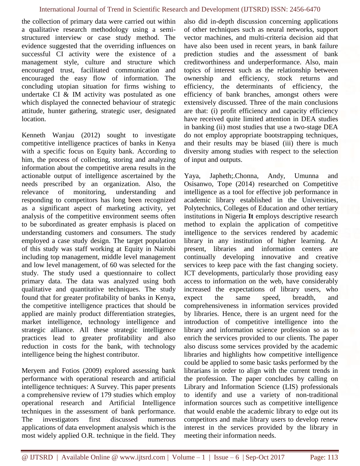the collection of primary data were carried out within a qualitative research methodology using a semistructured interview or case study method. The evidence suggested that the overriding influences on successful CI activity were the existence of a management style, culture and structure which encouraged trust, facilitated communication and encouraged the easy flow of information. The concluding utopian situation for firms wishing to undertake CI & IM activity was postulated as one which displayed the connected behaviour of strategic attitude, hunter gathering, strategic user, designated location.

Kenneth Wanjau (2012) sought to investigate competitive intelligence practices of banks in Kenya with a specific focus on Equity bank. According to him, the process of collecting, storing and analyzing information about the competitive arena results in the actionable output of intelligence ascertained by the needs prescribed by an organization. Also, the relevance of monitoring, understanding and responding to competitors has long been recognized as a significant aspect of marketing activity, yet analysis of the competitive environment seems often to be subordinated as greater emphasis is placed on understanding customers and consumers. The study employed a case study design. The target population of this study was staff working at Equity in Nairobi including top management, middle level management and low level management, of 60 was selected for the study. The study used a questionnaire to collect primary data. The data was analyzed using both qualitative and quantitative techniques. The study found that for greater profitability of banks in Kenya, the competitive intelligence practices that should be applied are mainly product differentiation strategies, market intelligence, technology intelligence and strategic alliance. All these strategic intelligence practices lead to greater profitability and also reduction in costs for the bank, with technology intelligence being the highest contributor.

Meryem and Fotios (2009) explored assessing bank performance with operational research and artificial intelligence techniques: A Survey. This paper presents a comprehensive review of 179 studies which employ operational research and Artificial Intelligence techniques in the assessment of bank performance. The investigators first discussed numerous applications of data envelopment analysis which is the most widely applied O.R. technique in the field. They

also did in-depth discussion concerning applications of other techniques such as neural networks, support vector machines, and multi-criteria decision aid that have also been used in recent years, in bank failure prediction studies and the assessment of bank creditworthiness and underperformance. Also, main topics of interest such as the relationship between ownership and efficiency, stock returns and efficiency, the determinants of efficiency, the efficiency of bank branches, amongst others were extensively discussed. Three of the main conclusions are that: (i) profit efficiency and capacity efficiency have received quite limited attention in DEA studies in banking (ii) most studies that use a two-stage DEA do not employ appropriate bootstrapping techniques, and their results may be biased (iii) there is much diversity among studies with respect to the selection of input and outputs.

Yaya, Japheth;.Chonna, Andy, Umunna and Osisanwo, Tope (2014) researched on Competitive intelligence as a tool for effective job performance in academic library established in the Universities, Polytechnics, Colleges of Education and other tertiary institutions in Nigeria **It** employs descriptive research method to explain the application of competitive intelligence to the services rendered by academic library in any institution of higher learning. At present, libraries and information centers are continually developing innovative and creative services to keep pace with the fast changing society. ICT developments, particularly those providing easy access to information on the web, have considerably increased the expectations of library users, who expect the same speed, breadth, and comprehensiveness in information services provided by libraries. Hence, there is an urgent need for the introduction of competitive intelligence into the library and information science profession so as to enrich the services provided to our clients. The paper also discuss some services provided by the academic libraries and highlights how competitive intelligence could be applied to some basic tasks performed by the librarians in order to align with the current trends in the profession. The paper concludes by calling on Library and Information Science (LIS) professionals to identify and use a variety of non-traditional information sources such as competitive intelligence that would enable the academic library to edge out its competitors and make library users to develop renew interest in the services provided by the library in meeting their information needs.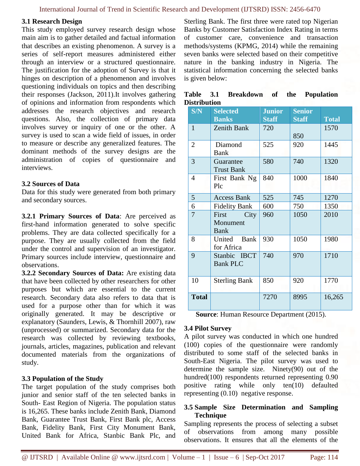#### **3.1 Research Design**

This study employed survey research design whose main aim is to gather detailed and factual information that describes an existing phenomenon. A survey is a series of self-report measures administered either through an interview or a structured questionnaire. The justification for the adoption of Survey is that it hinges on description of a phenomenon and involves questioning individuals on topics and then describing their responses (Jackson, 2011).It involves gathering of opinions and information from respondents which addresses the research objectives and research questions. Also, the collection of primary data involves survey or inquiry of one or the other. A survey is used to scan a wide field of issues, in order to measure or describe any generalized features. The dominant methods of the survey designs are the administration of copies of questionnaire and interviews.

#### **3.2 Sources of Data**

Data for this study were generated from both primary and secondary sources.

**3.2.1 Primary Sources of Data**: Are perceived as first-hand information generated to solve specific problems. They are data collected specifically for a purpose. They are usually collected from the field under the control and supervision of an investigator. Primary sources include interview, questionnaire and observations.

**3.2.2 Secondary Sources of Data:** Are existing data that have been collected by other researchers for other purposes but which are essential to the current research. Secondary data also refers to data that is used for a purpose other than for which it was originally generated. It may be descriptive or explanatory (Saunders, Lewis, & Thornhill 2007), raw (unprocessed) or summarized. Secondary data for the research was collected by reviewing textbooks, journals, articles, magazines, publication and relevant documented materials from the organizations of study.

#### **3.3 Population of the Study**

The target population of the study comprises both junior and senior staff of the ten selected banks in South- East Region of Nigeria. The population status is 16,265. These banks include Zenith Bank, Diamond Bank, Guarantee Trust Bank, First Bank plc, Access Bank, Fidelity Bank, First City Monument Bank, United Bank for Africa, Stanbic Bank Plc, and Sterling Bank. The first three were rated top Nigerian Banks by Customer Satisfaction Index Rating in terms of customer care, convenience and transaction methods/systems (KPMG, 2014) while the remaining seven banks were selected based on their competitive nature in the banking industry in Nigeria. The statistical information concerning the selected banks is given below:

|              | Table 3.1 Breakdown of the Population |  |  |
|--------------|---------------------------------------|--|--|
| Distribution |                                       |  |  |

| S/N            | <b>Selected</b><br><b>Banks</b>          | <b>Junior</b><br><b>Staff</b> | <b>Senior</b><br><b>Staff</b> | <b>Total</b> |
|----------------|------------------------------------------|-------------------------------|-------------------------------|--------------|
| $\mathbf{1}$   | Zenith Bank                              | 720                           | 850                           | 1570         |
| $\overline{2}$ | Diamond<br><b>Bank</b>                   | 525                           | 920                           | 1445         |
| 3              | Guarantee<br><b>Trust Bank</b>           | 580                           | 740                           | 1320         |
| $\overline{4}$ | First Bank Ng<br>Plc                     | 840                           | 1000                          | 1840         |
| 5              | <b>Access Bank</b>                       | 525                           | 745                           | 1270         |
| 6              | <b>Fidelity Bank</b>                     | 600                           | 750                           | 1350         |
| $\overline{7}$ | City<br>First<br>Monument<br><b>Bank</b> | 960                           | 1050                          | 2010         |
| 8              | United Bank<br>for Africa                | 930                           | 1050                          | 1980         |
| 9              | Stanbic IBCT<br><b>Bank PLC</b>          | 740                           | 970                           | 1710         |
| 10             | <b>Sterling Bank</b>                     | 850                           | 920                           | 1770         |
| <b>Total</b>   |                                          | 7270                          | 8995                          | 16,265       |

**Source**: Human Resource Department (2015).

#### **3.4 Pilot Survey**

A pilot survey was conducted in which one hundred (100) copies of the questionnaire were randomly distributed to some staff of the selected banks in South-East Nigeria. The pilot survey was used to determine the sample size. Ninety(90) out of the hundred(100) respondents returned representing 0.90 positive rating while only ten(10) defaulted representing (0.10) negative response.

#### **3.5 Sample Size Determination and Sampling Technique**

Sampling represents the process of selecting a subset of observations from among many possible observations. It ensures that all the elements of the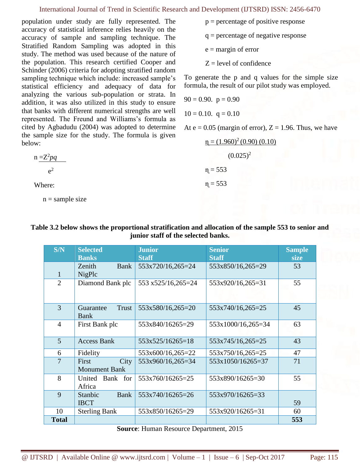population under study are fully represented. The accuracy of statistical inference relies heavily on the accuracy of sample and sampling technique. The Stratified Random Sampling was adopted in this study. The method was used because of the nature of the population. This research certified Cooper and Schinder (2006) criteria for adopting stratified random sampling technique which include: increased sample's statistical efficiency and adequacy of data for analyzing the various sub-population or strata. In addition, it was also utilized in this study to ensure that banks with different numerical strengths are well represented. The Freund and Williams's formula as cited by Agbadudu (2004) was adopted to determine the sample size for the study. The formula is given below:

$$
n = Z^2pq
$$

$$
e^2
$$

Where:

 $n =$ sample size

- $p =$  percentage of positive response
- q = percentage of negative response

 $e =$  margin of error

 $Z = level of confidence$ 

To generate the p and q values for the simple size formula, the result of our pilot study was employed.

$$
90 = 0.90. \quad p = 0.90
$$

$$
10 = 0.10. \quad q = 0.10
$$

At  $e = 0.05$  (margin of error),  $Z = 1.96$ . Thus, we have

$$
\eta = (1.960)^{2} (0.90) (0.10)
$$
  
(0.025)<sup>2</sup>  

$$
\eta = 553
$$
  

$$
\eta = 553
$$

### **Table 3.2 below shows the proportional stratification and allocation of the sample 553 to senior and junior staff of the selected banks.**

| S/N            | <b>Selected</b>                       | <b>Junior</b>      | <b>Senior</b>      | <b>Sample</b> |
|----------------|---------------------------------------|--------------------|--------------------|---------------|
|                | <b>Banks</b>                          | <b>Staff</b>       | <b>Staff</b>       | size          |
|                | Zenith<br>Bank                        | 553x720/16,265=24  | 553x850/16,265=29  | 53            |
| $\mathbf{1}$   | NigPlc                                |                    |                    |               |
| $\overline{2}$ | Diamond Bank plc                      | 553 x525/16,265=24 | 553x920/16,265=31  | 55            |
| 3              | Trust<br>Guarantee<br><b>Bank</b>     | 553x580/16,265=20  | 553x740/16,265=25  | 45            |
| $\overline{4}$ | First Bank plc                        | 553x840/16265=29   | 553x1000/16,265=34 | 63            |
| $\mathfrak{S}$ | <b>Access Bank</b>                    | 553x525/16265=18   | 553x745/16,265=25  | 43            |
| 6              | Fidelity                              | 553x600/16,265=22  | 553x750/16,265=25  | 47            |
| $\overline{7}$ | City<br>First<br><b>Monument Bank</b> | 553x960/16,265=34  | 553x1050/16265=37  | 71            |
| 8              | Bank for<br>United<br>Africa          | 553x760/16265=25   | 553x890/16265=30   | 55            |
| 9              | Stanbic<br><b>Bank</b><br><b>IBCT</b> | 553x740/16265=26   | 553x970/16265=33   | 59            |
| 10             | <b>Sterling Bank</b>                  | 553x850/16265=29   | 553x920/16265=31   | 60            |
| <b>Total</b>   |                                       |                    |                    | 553           |

**Source**: Human Resource Department, 2015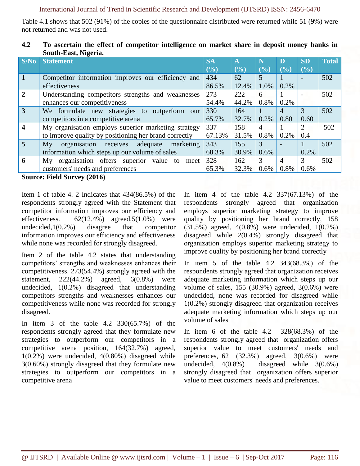Table 4.1 shows that 502 (91%) of the copies of the questionnaire distributed were returned while 51 (9%) were not returned and was not used.

| S/No           | <b>Statement</b>                                      | <b>SA</b> | $\mathbf{A}$ | N       | D    | <b>SD</b> | <b>Total</b> |
|----------------|-------------------------------------------------------|-----------|--------------|---------|------|-----------|--------------|
|                |                                                       | (9/0)     | $(\%)$       | $(\%)$  | (%)  | (%)       |              |
| $\mathbf{1}$   | Competitor information improves our efficiency and    | 434       | 62           | 5       |      |           | 502          |
|                | effectiveness                                         | 86.5%     | 12.4%        | 1.0%    | 0.2% |           |              |
| $\overline{2}$ | Understanding competitors strengths and weaknesses    | 273       | 222          | 6       |      |           | 502          |
|                | enhances our competitiveness                          | 54.4%     | 44.2%        | 0.8%    | 0.2% |           |              |
| 3              | We formulate new strategies to outperform our         | 330       | 164          |         | 4    | 3         | 502          |
|                | competitors in a competitive arena                    | 65.7%     | 32.7%        | $0.2\%$ | 0.80 | 0.60      |              |
| 4              | My organisation employs superior marketing strategy   | 337       | 158          | 4       |      | 2         | 502          |
|                | to improve quality by positioning her brand correctly | 67.13%    | 31.5%        | $0.8\%$ | 0.2% | 0.4       |              |
| $\overline{5}$ | organisation receives adequate<br>My<br>marketing     | 343       | 155          | 3       |      |           | 502          |
|                | information which steps up our volume of sales        | 68.3%     | 30.9%        | $0.6\%$ |      | 0.2%      |              |
| 6              | My organisation offers superior value to<br>meet      | 328       | 162          | 3       | 4    | 3         | 502          |
|                | customers' needs and preferences                      | 65.3%     | 32.3%        | $0.6\%$ | 0.8% | 0.6%      |              |
| $\sim$         | E: I A<br>(201)                                       |           |              |         |      |           |              |

| 4.2 | To ascertain the effect of competitor intelligence on market share in deposit money banks in |  |
|-----|----------------------------------------------------------------------------------------------|--|
|     | South-East, Nigeria.                                                                         |  |

**Source: Field Survey (2016)**

Item 1 of table 4. 2 Indicates that 434(86.5%) of the respondents strongly agreed with the Statement that competitor information improves our efficiency and effectiveness.  $62(12.4\%)$  agreed,  $5(1.0\%)$  were undecided,1(0.2%) disagree that competitor information improves our efficiency and effectiveness while none was recorded for strongly disagreed.

Item 2 of the table 4.2 states that understanding competitors' strengths and weaknesses enhances their competitiveness. 273(54.4%) strongly agreed with the statement,  $222(44.2%)$  agreed,  $6(0.8%)$  were undecided, 1(0.2%) disagreed that understanding competitors strengths and weaknesses enhances our competitiveness while none was recorded for strongly disagreed.

In item 3 of the table 4.2 330(65.7%) of the respondents strongly agreed that they formulate new strategies to outperform our competitors in a competitive arena position, 164(32.7%) agreed, 1(0.2%) were undecided, 4(0.80%) disagreed while 3(0.60%) strongly disagreed that they formulate new strategies to outperform our competitors in a competitive arena

In item 4 of the table 4.2 337(67.13%) of the respondents strongly agreed that organization employs superior marketing strategy to improve quality by positioning her brand correctly, 158 (31.5%) agreed, 4(0.8%) were undecided, 1(0.2%) disagreed while 2(0.4%) strongly disagreed that organization employs superior marketing strategy to improve quality by positioning her brand correctly

In item 5 of the table 4.2 343(68.3%) of the respondents strongly agreed that organization receives adequate marketing information which steps up our volume of sales, 155 (30.9%) agreed, 3(0.6%) were undecided, none was recorded for disagreed while 1(0.2%) strongly disagreed that organization receives adequate marketing information which steps up our volume of sales

In item 6 of the table 4.2 328(68.3%) of the respondents strongly agreed that organization offers superior value to meet customers' needs and preferences,162 (32.3%) agreed, 3(0.6%) were undecided, 4(0.8%) disagreed while 3(0.6%) strongly disagreed that organization offers superior value to meet customers' needs and preferences.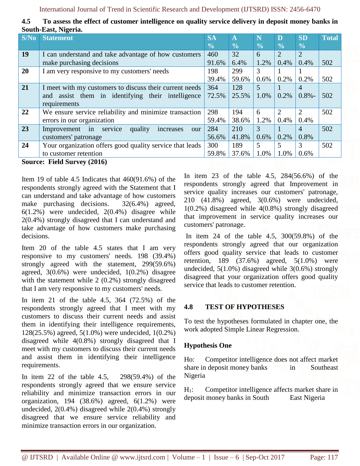|        | DUUUI-LASI, INEELIA.                                     |               |               |               |                |               |              |
|--------|----------------------------------------------------------|---------------|---------------|---------------|----------------|---------------|--------------|
| S/No   | <b>Statement</b>                                         | <b>SA</b>     | $\mathbf{A}$  | N             | D              | <b>SD</b>     | <b>Total</b> |
|        |                                                          | $\frac{0}{0}$ | $\frac{0}{0}$ | $\frac{0}{0}$ | $\frac{0}{0}$  | $\frac{0}{0}$ |              |
| 19     | I can understand and take advantage of how customers     | 460           | 32            | 6             | $\overline{2}$ | 2             |              |
|        | make purchasing decisions                                | 91.6%         | 6.4%          | 1.2%          | 0.4%           | 0.4%          | 502          |
| 20     | I am very responsive to my customers' needs              | 198           | 299           | 3             |                |               |              |
|        |                                                          | 39.4%         | 59.6%         | $0.6\%$       | 0.2%           | 0.2%          | 502          |
| 21     | I meet with my customers to discuss their current needs  | 364           | 128           | 5             |                | 4             |              |
|        | and assist them in identifying their intelligence        | 72.5%         | 25.5%         | 1.0%          | $0.2\%$        | $0.8\%$ -     | 502          |
|        | requirements                                             |               |               |               |                |               |              |
| 22     | We ensure service reliability and minimize transaction   | 298           | 194           | 6             | $\overline{2}$ | 2             | 502          |
|        | errors in our organization                               | 59.4%         | 38.6%         | 1.2%          | 0.4%           | 0.4%          |              |
| 23     | Improvement in service<br>quality<br>increases<br>our    | 284           | 210           | 3             |                | 4             | 502          |
|        | customers' patronage                                     | 56.6%         | 41.8%         | $0.6\%$       | $0.2\%$        | 0.8%          |              |
| 24     | Your organization offers good quality service that leads | 300           | 189           | 5             | 5              | 3             | 502          |
|        | to customer retention                                    | 59.8%         | 37.6%         | 1.0%          | 1.0%           | 0.6%          |              |
| $\sim$ |                                                          |               |               |               |                |               |              |

| 4.5 | To assess the effect of customer intelligence on quality service delivery in deposit money banks in |  |  |
|-----|-----------------------------------------------------------------------------------------------------|--|--|
|     | South-East, Nigeria.                                                                                |  |  |

**Source: Field Survey (2016)**

Item 19 of table 4.5 Indicates that 460(91.6%) of the respondents strongly agreed with the Statement that I can understand and take advantage of how customers make purchasing decisions. 32(6.4%) agreed, 6(1.2%) were undecided, 2(0.4%) disagree while 2(0.4%) strongly disagreed that I can understand and take advantage of how customers make purchasing decisions.

Item 20 of the table 4.5 states that I am very responsive to my customers' needs. 198 (39.4%) strongly agreed with the statement, 299(59.6%) agreed, 3(0.6%) were undecided, 1(0.2%) disagree with the statement while 2 (0.2%) strongly disagreed that I am very responsive to my customers' needs.

In item 21 of the table 4.5, 364 (72.5%) of the respondents strongly agreed that I meet with my customers to discuss their current needs and assist them in identifying their intelligence requirements, 128(25.5%) agreed, 5(1.0%) were undecided, 1(0.2%) disagreed while 4(0.8%) strongly disagreed that I meet with my customers to discuss their current needs and assist them in identifying their intelligence requirements.

In item 22 of the table 4.5, 298(59.4%) of the respondents strongly agreed that we ensure service reliability and minimize transaction errors in our organization, 194 (38.6%) agreed, 6(1.2%) were undecided, 2(0.4%) disagreed while 2(0.4%) strongly disagreed that we ensure service reliability and minimize transaction errors in our organization.

In item 23 of the table 4.5, 284(56.6%) of the respondents strongly agreed that Improvement in service quality increases our customers' patronage, 210 (41.8%) agreed, 3(0.6%) were undecided, 1(0.2%) disagreed while 4(0.8%) strongly disagreed that improvement in service quality increases our customers' patronage.

In item 24 of the table 4.5, 300(59.8%) of the respondents strongly agreed that our organization offers good quality service that leads to customer retention, 189 (37.6%) agreed, 5(1.0%) were undecided, 5(1.0%) disagreed while 3(0.6%) strongly disagreed that your organization offers good quality service that leads to customer retention.

## **4.8 TEST OF HYPOTHESES**

To test the hypotheses formulated in chapter one, the work adopted Simple Linear Regression.

## **Hypothesis One**

Ho: Competitor intelligence does not affect market share in deposit money banks in Southeast Nigeria

H<sub>1</sub>: Competitor intelligence affects market share in deposit money banks in South East Nigeria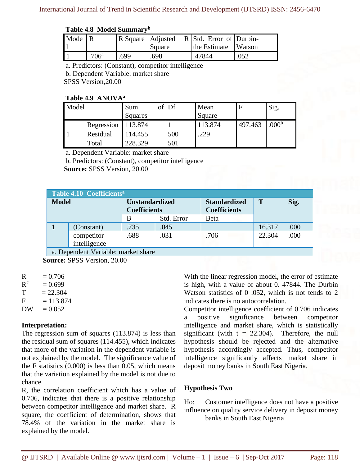#### **Table 4.8 Model Summary<sup>b</sup>**

| Mode $\vert$ R |                | R Square Adjusted | Square | $R$ Std. Error of Durbin-<br>the Estimate Watson |      |
|----------------|----------------|-------------------|--------|--------------------------------------------------|------|
|                | $.706^{\circ}$ | .699              | .698   | 47844                                            | .052 |

a. Predictors: (Constant), competitor intelligence

b. Dependent Variable: market share

SPSS Version,20.00

#### **Table 4.9 ANOVA<sup>a</sup>**

| Model |            | Sum<br>Squares | $of$ Df | Mean<br>Square |         | Sig.              |
|-------|------------|----------------|---------|----------------|---------|-------------------|
|       | Regression | 113.874        |         | 113.874        | 497.463 | .000 <sup>b</sup> |
|       | Residual   | 114.455        | 500     | .229           |         |                   |
|       | Total      | 228.329        | 501     |                |         |                   |

a. Dependent Variable: market share

b. Predictors: (Constant), competitor intelligence

**Source:** SPSS Version, 20.00

|              | Table 4.10 Coefficients <sup>a</sup> |                       |            |                     |        |      |  |  |  |
|--------------|--------------------------------------|-----------------------|------------|---------------------|--------|------|--|--|--|
| <b>Model</b> |                                      | <b>Unstandardized</b> |            | <b>Standardized</b> | T      | Sig. |  |  |  |
|              |                                      | <b>Coefficients</b>   |            | <b>Coefficients</b> |        |      |  |  |  |
|              |                                      | B                     | Std. Error | Beta                |        |      |  |  |  |
|              | (Constant)                           | .735                  | .045       |                     | 16.317 | .000 |  |  |  |
|              | competitor                           | .688                  | .031       | .706                | 22.304 | .000 |  |  |  |
|              | intelligence                         |                       |            |                     |        |      |  |  |  |
|              | a. Dependent Variable: market share  |                       |            |                     |        |      |  |  |  |

**Source:** SPSS Version, 20.00

 $R^2$  $= 0.699$ 

 $T = 22.304$ 

 $F = 113.874$ 

 $DW = 0.052$ 

## **Interpretation:**

The regression sum of squares (113.874) is less than the residual sum of squares (114.455), which indicates that more of the variation in the dependent variable is not explained by the model. The significance value of the F statistics  $(0.000)$  is less than 0.05, which means that the variation explained by the model is not due to chance.

R, the correlation coefficient which has a value of 0.706, indicates that there is a positive relationship between competitor intelligence and market share. R square, the coefficient of determination, shows that 78.4% of the variation in the market share is explained by the model.

With the linear regression model, the error of estimate is high, with a value of about 0. 47844. The Durbin Watson statistics of 0 .052, which is not tends to 2 indicates there is no autocorrelation.

Competitor intelligence coefficient of 0.706 indicates a positive significance between competitor intelligence and market share, which is statistically significant (with  $t = 22.304$ ). Therefore, the null hypothesis should be rejected and the alternative hypothesis accordingly accepted. Thus, competitor intelligence significantly affects market share in deposit money banks in South East Nigeria.

## **Hypothesis Two**

Ho: Customer intelligence does not have a positive influence on quality service delivery in deposit money banks in South East Nigeria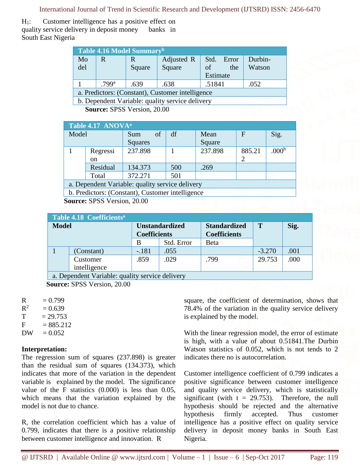International Journal of Trend in Scientific Research and Development (IJTSRD) ISSN: 2456-6470

H<sub>1</sub>: Customer intelligence has a positive effect on quality service delivery in deposit money banks in South East Nigeria

| Table 4.16 Model Summary <sup>b</sup>            |                   |        |                                                 |               |         |  |  |  |
|--------------------------------------------------|-------------------|--------|-------------------------------------------------|---------------|---------|--|--|--|
| Mo                                               | R                 | R      | Adjusted R                                      | Std.<br>Error | Durbin- |  |  |  |
| del                                              |                   | Square | Square                                          | of<br>the     | Watson  |  |  |  |
|                                                  |                   |        |                                                 | Estimate      |         |  |  |  |
|                                                  | .799 <sup>a</sup> | .639   | .638                                            | .51841        | .052    |  |  |  |
| a. Predictors: (Constant), Customer intelligence |                   |        |                                                 |               |         |  |  |  |
|                                                  |                   |        | b. Dependent Variable: quality service delivery |               |         |  |  |  |

**Source:** SPSS Version, 20.00

| Table 4.17 ANOVA <sup>a</sup>                    |               |                |     |         |              |                   |  |  |
|--------------------------------------------------|---------------|----------------|-----|---------|--------------|-------------------|--|--|
| Model                                            |               | of<br>Sum      | df  | Mean    | $\mathbf{F}$ | Sig.              |  |  |
|                                                  |               | <b>Squares</b> |     | Square  |              |                   |  |  |
|                                                  | Regressi      | 237.898        |     | 237.898 | 885.21       | .000 <sup>b</sup> |  |  |
|                                                  | <sub>on</sub> |                |     |         | 2            |                   |  |  |
|                                                  | Residual      | 134.373        | 500 | .269    |              |                   |  |  |
|                                                  | Total         | 372.271        | 501 |         |              |                   |  |  |
| a. Dependent Variable: quality service delivery  |               |                |     |         |              |                   |  |  |
| b. Predictors: (Constant), Customer intelligence |               |                |     |         |              |                   |  |  |

**Source:** SPSS Version, 20.00

| Table 4.18 Coefficients <sup>a</sup>            |              |                                              |            |                                            |          |      |  |  |  |  |
|-------------------------------------------------|--------------|----------------------------------------------|------------|--------------------------------------------|----------|------|--|--|--|--|
| <b>Model</b>                                    |              | <b>Unstandardized</b><br><b>Coefficients</b> |            | <b>Standardized</b><br><b>Coefficients</b> | T        | Sig. |  |  |  |  |
|                                                 |              | B                                            | Std. Error | Beta                                       |          |      |  |  |  |  |
|                                                 | (Constant)   | $-.181$                                      | .055       |                                            | $-3.270$ | .001 |  |  |  |  |
|                                                 | Customer     | .859                                         | .029       | .799                                       | 29.753   | .000 |  |  |  |  |
|                                                 | intelligence |                                              |            |                                            |          |      |  |  |  |  |
| a. Dependent Variable: quality service delivery |              |                                              |            |                                            |          |      |  |  |  |  |

 **Source:** SPSS Version, 20.00

| $= 0.799$ |
|-----------|
|           |

 $R^2$  $= 0.639$  $T = 29.753$ 

 $F = 885.212$ 

 $DW = 0.052$ 

## **Interpretation:**

The regression sum of squares (237.898) is greater than the residual sum of squares (134.373), which indicates that more of the variation in the dependent variable is explained by the model. The significance value of the F statistics (0.000) is less than 0.05, which means that the variation explained by the model is not due to chance.

R, the correlation coefficient which has a value of 0.799, indicates that there is a positive relationship between customer intelligence and innovation. R

square, the coefficient of determination, shows that 78.4% of the variation in the quality service delivery is explained by the model.

With the linear regression model, the error of estimate is high, with a value of about 0.51841.The Durbin Watson statistics of 0.052, which is not tends to 2 indicates there no is autocorrelation.

Customer intelligence coefficient of 0.799 indicates a positive significance between customer intelligence and quality service delivery, which is statistically significant (with  $t = 29.753$ ). Therefore, the null hypothesis should be rejected and the alternative hypothesis firmly accepted. Thus customer intelligence has a positive effect on quality service delivery in deposit money banks in South East Nigeria.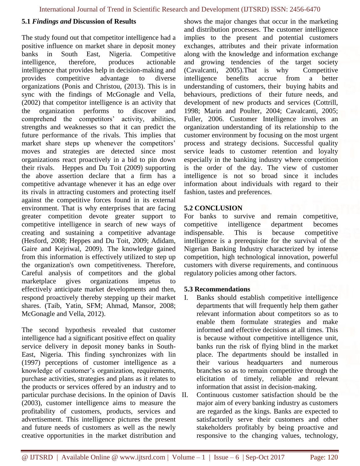#### **5.1** *Findings and* **Discussion of Results**

The study found out that competitor intelligence had a positive influence on market share in deposit money banks in South East, Nigeria. Competitive intelligence, therefore, produces actionable intelligence that provides help in decision-making and provides competitive advantage to diverse organizations (Ponis and Christou, (2013). This is in sync with the findings of McGonagle and Vella, (2002) that competitor intelligence is an activity that the organization performs to discover and comprehend the competitors' activity, abilities, strengths and weaknesses so that it can predict the future performance of the rivals. This implies that market share steps up whenever the competitors' moves and strategies are detected since most organizations react proactively in a bid to pin down their rivals. Heppes and Du Toit (2009) supporting the above assertion declare that a firm has a competitive advantage whenever it has an edge over its rivals in attracting customers and protecting itself against the competitive forces found in its external environment. That is why enterprises that are facing greater competition devote greater support to competitive intelligence in search of new ways of creating and sustaining a competitive advantage (Hesford, 2008; Heppes and Du Toit, 2009; Adidam, Gaire and Kejriwal, 2009). The knowledge gained from this information is effectively utilized to step up the organization's own competitiveness. Therefore, Careful analysis of competitors and the global marketplace gives organizations impetus to effectively anticipate market developments and then, respond proactively thereby stepping up their market shares. (Taib, Yatin, SFM; Ahmad, Mansor, 2008; McGonagle and Vella, 2012).

The second hypothesis revealed that customer intelligence had a significant positive effect on quality service delivery in deposit money banks in South-East, Nigeria. This finding synchronizes with lin (1997) perceptions of customer intelligence as a knowledge of customer's organization, requirements, purchase activities, strategies and plans as it relates to the products or services offered by an industry and to particular purchase decisions. In the opinion of Davis (2003), customer intelligence aims to measure the profitability of customers, products, services and advertisement. This intelligence pictures the present and future needs of customers as well as the newly creative opportunities in the market distribution and

shows the major changes that occur in the marketing and distribution processes. The customer intelligence implies to the present and potential customers exchanges, attributes and their private information along with the knowledge and information exchange and growing tendencies of the target society (Cavalcanti, 2005).That is why Competitive intelligence benefits accrue from a better understanding of customers, their buying habits and behaviours, predictions of their future needs, and development of new products and services (Cottrill, 1998; Marin and Poulter, 2004; Cavalcanti, 2005; Fuller, 2006. Customer Intelligence involves an organization understanding of its relationship to the customer environment by focusing on the most urgent process and strategy decisions. Successful quality service leads to customer retention and loyalty especially in the banking industry where competition is the order of the day. The view of customer intelligence is not so broad since it includes information about individuals with regard to their fashion, tastes and preferences.

#### **5.2 CONCLUSION**

For banks to survive and remain competitive, competitive intelligence department becomes indispensable. This is because competitive intelligence is a prerequisite for the survival of the Nigerian Banking Industry characterized by intense competition, high technological innovation, powerful customers with diverse requirements, and continuous regulatory policies among other factors.

#### **5.3 Recommendations**

- I. Banks should establish competitive intelligence departments that will frequently help them gather relevant information about competitors so as to enable them formulate strategies and make informed and effective decisions at all times. This is because without competitive intelligence unit, banks run the risk of flying blind in the market place. The departments should be installed in their various headquarters and numerous branches so as to remain competitive through the elicitation of timely, reliable and relevant information that assist in decision-making.
- Continuous customer satisfaction should be the major aim of every banking industry as customers are regarded as the kings. Banks are expected to satisfactorily serve their customers and other stakeholders profitably by being proactive and responsive to the changing values, technology,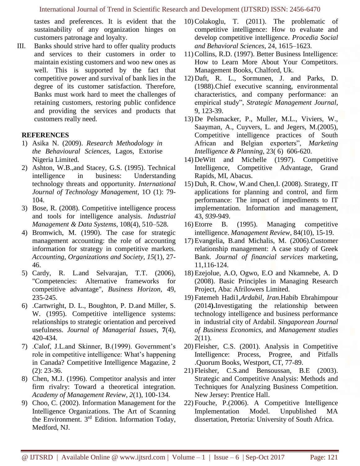tastes and preferences. It is evident that the sustainability of any organization hinges on customers patronage and loyalty.

III. Banks should strive hard to offer quality products and services to their customers in order to maintain existing customers and woo new ones as well. This is supported by the fact that competitive power and survival of bank lies in the degree of its customer satisfaction. Therefore, Banks must work hard to meet the challenges of retaining customers, restoring public confidence and providing the services and products that customers really need.

#### **REFERENCES**

- 1) Asika N. (2009). *Research Methodology in the Behavioural Sciences*, Lagos, Extorise Nigeria Limited.
- 2) Ashton, W.B.,and Stacey, G.S. (1995). Technical intelligence in business: Understanding technology threats and opportunity. *International Journal of Technology Management*, 1O (1): 79- 104.
- 3) Bose, R. (2008). Competitive intelligence process and tools for intelligence analysis. *Industrial Management & Data Systems*, 108(4), 510–528.
- 4) Bromwich, M. (1990). The case for strategic management accounting: the role of accounting information for strategy in competitive markets. *Accounting, Organizations and Society, 15*(1), 27- 46.
- 5) Cardy, R. L.and Selvarajan, T.T. (2006), "Competencies: Alternative frameworks for competitive advantage", *Business Horizon*, 49, 235-245.
- 6) .Cartwright, D. L., Boughton, P. D.and Miller, S. W. (1995). Competitive intelligence systems: relationships to strategic orientation and perceived usefulness. *Journal of Managerial Issues*, **7**(4), 420-434.
- 7) .Calof, J.L.and Skinner, B.(1999). Government's role in competitive intelligence: What's happening in Canada? Competitive Intelligence Magazine*,* 2 (2): 23-36.
- 8) Chen, M.J. (1996). Competitor analysis and inter firm rivalry: Toward a theoretical integration. *Academy of Management Review, 2*(1), 100-134.
- 9) Choo, C. (2002). Information Management for the Intelligence Organizations. The Art of Scanning the Environment. 3<sup>rd</sup> Edition. Information Today, Medford, NJ.
- 10) Colakoglu, T. (2011). The problematic of competitive intelligence: How to evaluate and develop competitive intelligence. *Procedia Social and Behavioral Sciences*, 24, 1615–1623.
- 11) Collins, R.D. (1997). Better Business Intelligence: How to Learn More About Your Competitors. Management Books, Chalford, Uk.
- 12) Daft, R. L., Sormunen, J. and Parks, D. (1988).Chief executive scanning, environmental characteristics, and company performance: an empirical study", *Strategic Management Journal*, 9, 123-39.
- 13) De Pelsmacker, P., Muller, M.L., Viviers, W., Saayman, A., Cuyvers, L. and Jegers, M.(2005), Competitive intelligence practices of South African and Belgian exporters", *Marketing Intelligence & Planning*, 23( 6) 606-620.
- 14) DeWitt and Michelle (1997). Competitive Intelligence, Competitive Advantage, Grand Rapids, MI, Abacus.
- 15) Duh, R. Chow, W.and Chen,I. (2008). Strategy, IT applications for planning and control, and firm performance: The impact of impediments to IT implementation. Information and management, 43, *939*-949.
- 16) Etorre B. (1995). Managing competitive intelligence. *Management Review*, 84(10), 15-19.
- 17) Evangelia, B.and Michalis, M. (2006).Customer relationship management: A case study of Greek Bank. *Journal of financial services* marketing, 11,116-124.
- 18) Ezejolue, A.O, Ogwo, E.O and Nkamnebe, A. D (2008). Basic Principles in Managing Research Project, Aba: Afrilowers Limited.
- 19) Fatemeh Hadi1,*Ardabil, Iran.*Habib Ebrahimpour (2014**).**Investigating the relationship between technology intelligence and business performance in industrial city of Ardabil. *Singaporean Journal of Business Economics,* and *Management studies*  2(11).
- 20) Fleisher, C.S. (2001). Analysis in Competitive Intelligence: Process, Progree, and Pitfalls .Quorum Books, Westport, CT, 77-89.
- 21) Fleisher, C.S.and Bensoussan, B.E (2003). Strategic and Competitive Analysis: Methods and Techniques for Analyzing Business Competition. New Jersey: Prentice Hall.
- 22) Fouche, P.(2006). A Competitive Intelligence Implementation Model. Unpublished MA dissertation, Pretoria: University of South Africa.